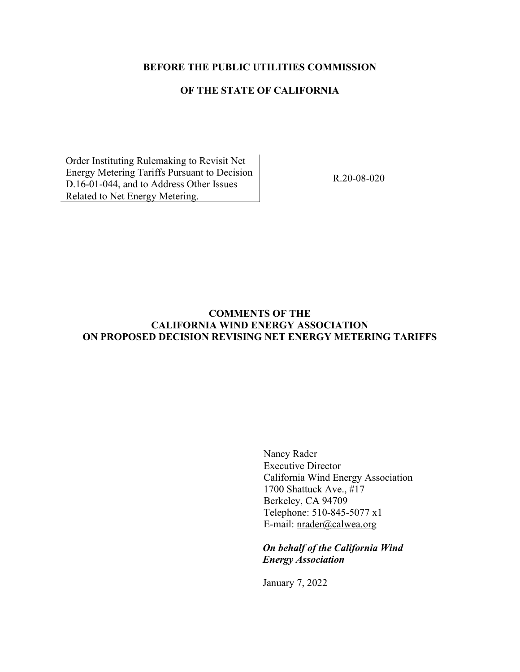## **BEFORE THE PUBLIC UTILITIES COMMISSION**

# **OF THE STATE OF CALIFORNIA**

Order Instituting Rulemaking to Revisit Net Energy Metering Tariffs Pursuant to Decision D.16-01-044, and to Address Other Issues Related to Net Energy Metering.

R.20-08-020

# **COMMENTS OF THE CALIFORNIA WIND ENERGY ASSOCIATION ON PROPOSED DECISION REVISING NET ENERGY METERING TARIFFS**

Nancy Rader Executive Director California Wind Energy Association 1700 Shattuck Ave., #17 Berkeley, CA 94709 Telephone: 510-845-5077 x1 E-mail: [nrader@calwea.org](mailto:nrader@calwea.org)

*On behalf of the California Wind Energy Association*

January 7, 2022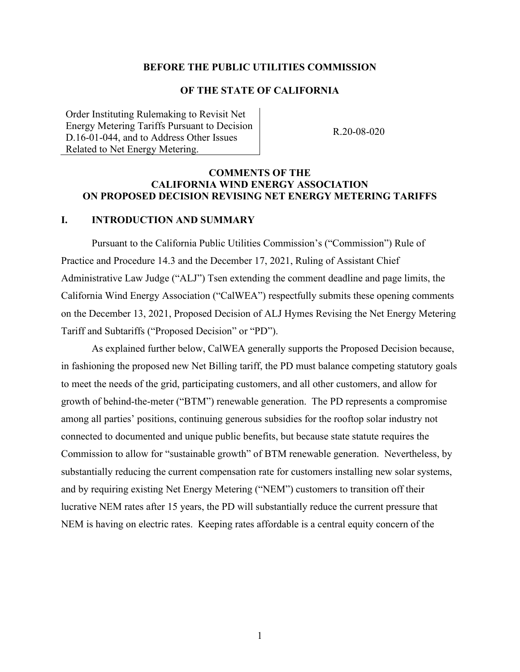#### **BEFORE THE PUBLIC UTILITIES COMMISSION**

## **OF THE STATE OF CALIFORNIA**

Order Instituting Rulemaking to Revisit Net Energy Metering Tariffs Pursuant to Decision D.16-01-044, and to Address Other Issues Related to Net Energy Metering.

R.20-08-020

### **COMMENTS OF THE CALIFORNIA WIND ENERGY ASSOCIATION ON PROPOSED DECISION REVISING NET ENERGY METERING TARIFFS**

#### **I. INTRODUCTION AND SUMMARY**

Pursuant to the California Public Utilities Commission's ("Commission") Rule of Practice and Procedure 14.3 and the December 17, 2021, Ruling of Assistant Chief Administrative Law Judge ("ALJ") Tsen extending the comment deadline and page limits, the California Wind Energy Association ("CalWEA") respectfully submits these opening comments on the December 13, 2021, Proposed Decision of ALJ Hymes Revising the Net Energy Metering Tariff and Subtariffs ("Proposed Decision" or "PD").

As explained further below, CalWEA generally supports the Proposed Decision because, in fashioning the proposed new Net Billing tariff, the PD must balance competing statutory goals to meet the needs of the grid, participating customers, and all other customers, and allow for growth of behind-the-meter ("BTM") renewable generation. The PD represents a compromise among all parties' positions, continuing generous subsidies for the rooftop solar industry not connected to documented and unique public benefits, but because state statute requires the Commission to allow for "sustainable growth" of BTM renewable generation. Nevertheless, by substantially reducing the current compensation rate for customers installing new solar systems, and by requiring existing Net Energy Metering ("NEM") customers to transition off their lucrative NEM rates after 15 years, the PD will substantially reduce the current pressure that NEM is having on electric rates. Keeping rates affordable is a central equity concern of the

1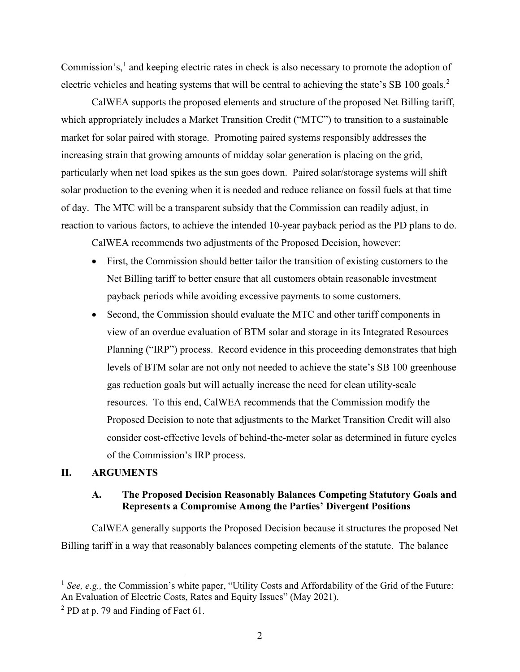Commission's,<sup>[1](#page-2-0)</sup> and keeping electric rates in check is also necessary to promote the adoption of electric vehicles and heating systems that will be central to achieving the state's SB 100 goals.<sup>[2](#page-2-1)</sup>

CalWEA supports the proposed elements and structure of the proposed Net Billing tariff, which appropriately includes a Market Transition Credit ("MTC") to transition to a sustainable market for solar paired with storage. Promoting paired systems responsibly addresses the increasing strain that growing amounts of midday solar generation is placing on the grid, particularly when net load spikes as the sun goes down. Paired solar/storage systems will shift solar production to the evening when it is needed and reduce reliance on fossil fuels at that time of day. The MTC will be a transparent subsidy that the Commission can readily adjust, in reaction to various factors, to achieve the intended 10-year payback period as the PD plans to do.

CalWEA recommends two adjustments of the Proposed Decision, however:

- First, the Commission should better tailor the transition of existing customers to the Net Billing tariff to better ensure that all customers obtain reasonable investment payback periods while avoiding excessive payments to some customers.
- Second, the Commission should evaluate the MTC and other tariff components in view of an overdue evaluation of BTM solar and storage in its Integrated Resources Planning ("IRP") process. Record evidence in this proceeding demonstrates that high levels of BTM solar are not only not needed to achieve the state's SB 100 greenhouse gas reduction goals but will actually increase the need for clean utility-scale resources. To this end, CalWEA recommends that the Commission modify the Proposed Decision to note that adjustments to the Market Transition Credit will also consider cost-effective levels of behind-the-meter solar as determined in future cycles of the Commission's IRP process.

### **II. ARGUMENTS**

## **A. The Proposed Decision Reasonably Balances Competing Statutory Goals and Represents a Compromise Among the Parties' Divergent Positions**

CalWEA generally supports the Proposed Decision because it structures the proposed Net Billing tariff in a way that reasonably balances competing elements of the statute. The balance

<span id="page-2-0"></span><sup>&</sup>lt;sup>1</sup> See, e.g., the Commission's white paper, "Utility Costs and Affordability of the Grid of the Future: An Evaluation of Electric Costs, Rates and Equity Issues" (May 2021).

<span id="page-2-1"></span> $2$  PD at p. 79 and Finding of Fact 61.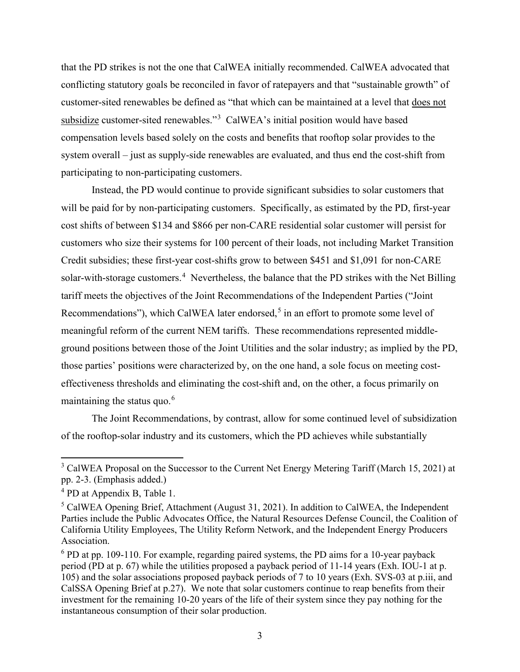that the PD strikes is not the one that CalWEA initially recommended. CalWEA advocated that conflicting statutory goals be reconciled in favor of ratepayers and that "sustainable growth" of customer-sited renewables be defined as "that which can be maintained at a level that does not subsidize customer-sited renewables."<sup>[3](#page-3-0)</sup> CalWEA's initial position would have based compensation levels based solely on the costs and benefits that rooftop solar provides to the system overall – just as supply-side renewables are evaluated, and thus end the cost-shift from participating to non-participating customers.

Instead, the PD would continue to provide significant subsidies to solar customers that will be paid for by non-participating customers. Specifically, as estimated by the PD, first-year cost shifts of between \$134 and \$866 per non-CARE residential solar customer will persist for customers who size their systems for 100 percent of their loads, not including Market Transition Credit subsidies; these first-year cost-shifts grow to between \$451 and \$1,091 for non-CARE solar-with-storage customers.<sup>[4](#page-3-1)</sup> Nevertheless, the balance that the PD strikes with the Net Billing tariff meets the objectives of the Joint Recommendations of the Independent Parties ("Joint Recommendations"), which CalWEA later endorsed,<sup>[5](#page-3-2)</sup> in an effort to promote some level of meaningful reform of the current NEM tariffs. These recommendations represented middleground positions between those of the Joint Utilities and the solar industry; as implied by the PD, those parties' positions were characterized by, on the one hand, a sole focus on meeting costeffectiveness thresholds and eliminating the cost-shift and, on the other, a focus primarily on maintaining the status quo.<sup>[6](#page-3-3)</sup>

The Joint Recommendations, by contrast, allow for some continued level of subsidization of the rooftop-solar industry and its customers, which the PD achieves while substantially

<span id="page-3-0"></span><sup>&</sup>lt;sup>3</sup> CalWEA Proposal on the Successor to the Current Net Energy Metering Tariff (March 15, 2021) at pp. 2-3. (Emphasis added.)

<span id="page-3-1"></span><sup>&</sup>lt;sup>4</sup> PD at Appendix B, Table 1.

<span id="page-3-2"></span><sup>&</sup>lt;sup>5</sup> CalWEA Opening Brief, Attachment (August 31, 2021). In addition to CalWEA, the Independent Parties include the Public Advocates Office, the Natural Resources Defense Council, the Coalition of California Utility Employees, The Utility Reform Network, and the Independent Energy Producers Association.

<span id="page-3-3"></span> $6$  PD at pp. 109-110. For example, regarding paired systems, the PD aims for a 10-year payback period (PD at p. 67) while the utilities proposed a payback period of 11-14 years (Exh. IOU-1 at p. 105) and the solar associations proposed payback periods of 7 to 10 years (Exh. SVS-03 at p.iii, and CalSSA Opening Brief at p.27). We note that solar customers continue to reap benefits from their investment for the remaining 10-20 years of the life of their system since they pay nothing for the instantaneous consumption of their solar production.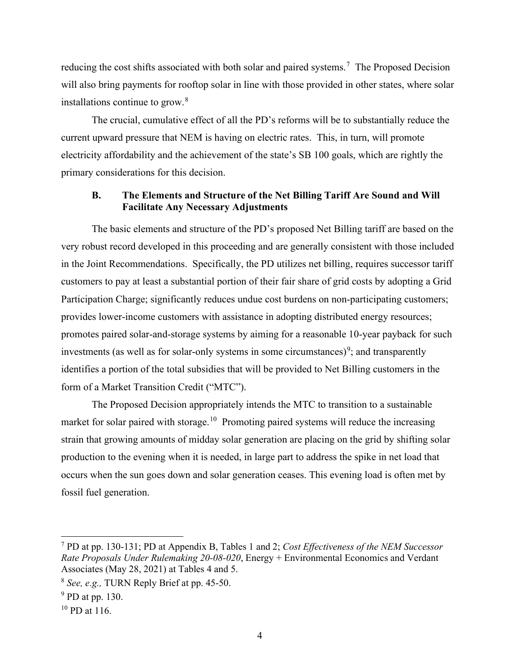reducing the cost shifts associated with both solar and paired systems.<sup>[7](#page-4-0)</sup> The Proposed Decision will also bring payments for rooftop solar in line with those provided in other states, where solar installations continue to grow.<sup>[8](#page-4-1)</sup>

The crucial, cumulative effect of all the PD's reforms will be to substantially reduce the current upward pressure that NEM is having on electric rates. This, in turn, will promote electricity affordability and the achievement of the state's SB 100 goals, which are rightly the primary considerations for this decision.

#### **B. The Elements and Structure of the Net Billing Tariff Are Sound and Will Facilitate Any Necessary Adjustments**

The basic elements and structure of the PD's proposed Net Billing tariff are based on the very robust record developed in this proceeding and are generally consistent with those included in the Joint Recommendations. Specifically, the PD utilizes net billing, requires successor tariff customers to pay at least a substantial portion of their fair share of grid costs by adopting a Grid Participation Charge; significantly reduces undue cost burdens on non-participating customers; provides lower-income customers with assistance in adopting distributed energy resources; promotes paired solar-and-storage systems by aiming for a reasonable 10-year payback for such investments (as well as for solar-only systems in some circumstances)<sup>[9](#page-4-2)</sup>; and transparently identifies a portion of the total subsidies that will be provided to Net Billing customers in the form of a Market Transition Credit ("MTC").

The Proposed Decision appropriately intends the MTC to transition to a sustainable market for solar paired with storage.<sup>[10](#page-4-3)</sup> Promoting paired systems will reduce the increasing strain that growing amounts of midday solar generation are placing on the grid by shifting solar production to the evening when it is needed, in large part to address the spike in net load that occurs when the sun goes down and solar generation ceases. This evening load is often met by fossil fuel generation.

<span id="page-4-0"></span><sup>7</sup> PD at pp. 130-131; PD at Appendix B, Tables 1 and 2; *Cost Effectiveness of the NEM Successor Rate Proposals Under Rulemaking 20-08-020*, Energy + Environmental Economics and Verdant Associates (May 28, 2021) at Tables 4 and 5.

<span id="page-4-1"></span><sup>8</sup> *See, e.g.,* TURN Reply Brief at pp. 45-50.

<span id="page-4-2"></span><sup>&</sup>lt;sup>9</sup> PD at pp. 130.

<span id="page-4-3"></span><sup>&</sup>lt;sup>10</sup> PD at 116.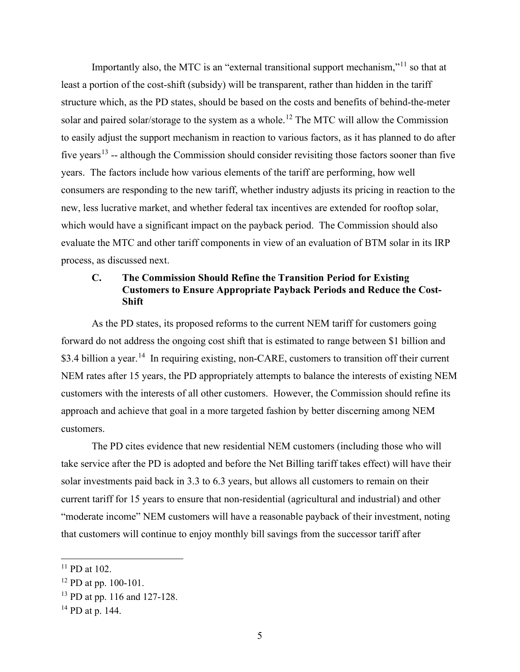Importantly also, the MTC is an "external transitional support mechanism,"<sup>11</sup> so that at least a portion of the cost-shift (subsidy) will be transparent, rather than hidden in the tariff structure which, as the PD states, should be based on the costs and benefits of behind-the-meter solar and paired solar/storage to the system as a whole.<sup>[12](#page-5-1)</sup> The MTC will allow the Commission to easily adjust the support mechanism in reaction to various factors, as it has planned to do after five years<sup>[13](#page-5-2)</sup> -- although the Commission should consider revisiting those factors sooner than five years. The factors include how various elements of the tariff are performing, how well consumers are responding to the new tariff, whether industry adjusts its pricing in reaction to the new, less lucrative market, and whether federal tax incentives are extended for rooftop solar, which would have a significant impact on the payback period. The Commission should also evaluate the MTC and other tariff components in view of an evaluation of BTM solar in its IRP process, as discussed next.

# **C. The Commission Should Refine the Transition Period for Existing Customers to Ensure Appropriate Payback Periods and Reduce the Cost-Shift**

As the PD states, its proposed reforms to the current NEM tariff for customers going forward do not address the ongoing cost shift that is estimated to range between \$1 billion and \$3.4 billion a year.<sup>[14](#page-5-3)</sup> In requiring existing, non-CARE, customers to transition off their current NEM rates after 15 years, the PD appropriately attempts to balance the interests of existing NEM customers with the interests of all other customers. However, the Commission should refine its approach and achieve that goal in a more targeted fashion by better discerning among NEM customers.

The PD cites evidence that new residential NEM customers (including those who will take service after the PD is adopted and before the Net Billing tariff takes effect) will have their solar investments paid back in 3.3 to 6.3 years, but allows all customers to remain on their current tariff for 15 years to ensure that non-residential (agricultural and industrial) and other "moderate income" NEM customers will have a reasonable payback of their investment, noting that customers will continue to enjoy monthly bill savings from the successor tariff after

<span id="page-5-0"></span> $11$  PD at 102.

<span id="page-5-1"></span> $12$  PD at pp. 100-101.

<span id="page-5-2"></span><sup>13</sup> PD at pp. 116 and 127-128.

<span id="page-5-3"></span> $14$  PD at p. 144.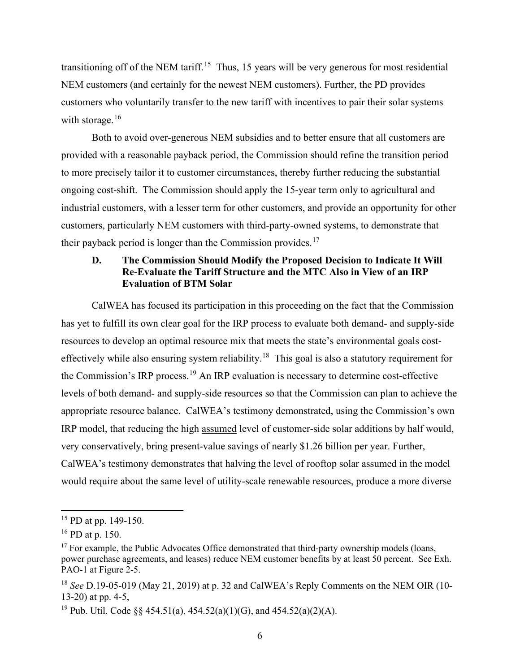transitioning off of the NEM tariff.<sup>15</sup> Thus, [15](#page-6-0) years will be very generous for most residential NEM customers (and certainly for the newest NEM customers). Further, the PD provides customers who voluntarily transfer to the new tariff with incentives to pair their solar systems with storage. $16$ 

Both to avoid over-generous NEM subsidies and to better ensure that all customers are provided with a reasonable payback period, the Commission should refine the transition period to more precisely tailor it to customer circumstances, thereby further reducing the substantial ongoing cost-shift. The Commission should apply the 15-year term only to agricultural and industrial customers, with a lesser term for other customers, and provide an opportunity for other customers, particularly NEM customers with third-party-owned systems, to demonstrate that their payback period is longer than the Commission provides.<sup>[17](#page-6-2)</sup>

## **D. The Commission Should Modify the Proposed Decision to Indicate It Will Re-Evaluate the Tariff Structure and the MTC Also in View of an IRP Evaluation of BTM Solar**

CalWEA has focused its participation in this proceeding on the fact that the Commission has yet to fulfill its own clear goal for the IRP process to evaluate both demand- and supply-side resources to develop an optimal resource mix that meets the state's environmental goals cost-effectively while also ensuring system reliability.<sup>[18](#page-6-3)</sup> This goal is also a statutory requirement for the Commission's IRP process.[19](#page-6-4) An IRP evaluation is necessary to determine cost-effective levels of both demand- and supply-side resources so that the Commission can plan to achieve the appropriate resource balance. CalWEA's testimony demonstrated, using the Commission's own IRP model, that reducing the high assumed level of customer-side solar additions by half would, very conservatively, bring present-value savings of nearly \$1.26 billion per year. Further, CalWEA's testimony demonstrates that halving the level of rooftop solar assumed in the model would require about the same level of utility-scale renewable resources, produce a more diverse

<span id="page-6-0"></span><sup>&</sup>lt;sup>15</sup> PD at pp. 149-150.

<span id="page-6-1"></span> $16$  PD at p. 150.

<span id="page-6-2"></span><sup>&</sup>lt;sup>17</sup> For example, the Public Advocates Office demonstrated that third-party ownership models (loans, power purchase agreements, and leases) reduce NEM customer benefits by at least 50 percent. See Exh. PAO-1 at Figure 2-5.

<span id="page-6-3"></span><sup>18</sup> *See* D.19-05-019 (May 21, 2019) at p. 32 and CalWEA's Reply Comments on the NEM OIR (10- 13-20) at pp. 4-5,

<span id="page-6-4"></span><sup>&</sup>lt;sup>19</sup> Pub. Util. Code §§ 454.51(a), 454.52(a)(1)(G), and 454.52(a)(2)(A).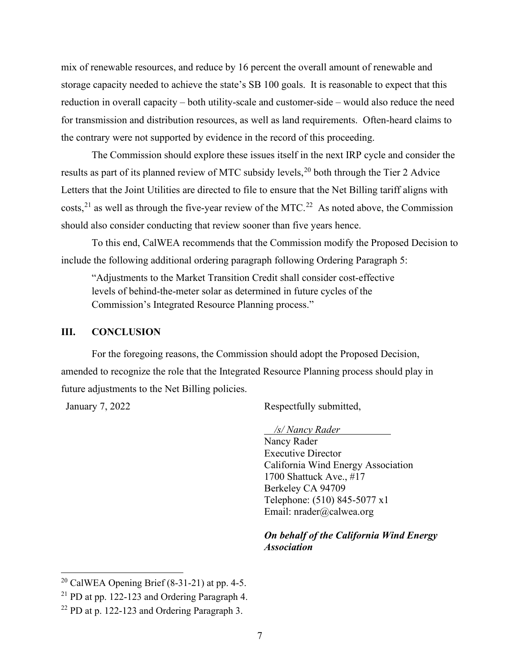mix of renewable resources, and reduce by 16 percent the overall amount of renewable and storage capacity needed to achieve the state's SB 100 goals. It is reasonable to expect that this reduction in overall capacity – both utility-scale and customer-side – would also reduce the need for transmission and distribution resources, as well as land requirements. Often-heard claims to the contrary were not supported by evidence in the record of this proceeding.

The Commission should explore these issues itself in the next IRP cycle and consider the results as part of its planned review of MTC subsidy levels,<sup>[20](#page-7-0)</sup> both through the Tier 2 Advice Letters that the Joint Utilities are directed to file to ensure that the Net Billing tariff aligns with costs,<sup>21</sup> as well as through the five-year review of the MTC.<sup>22</sup> As noted above, the Commission should also consider conducting that review sooner than five years hence.

To this end, CalWEA recommends that the Commission modify the Proposed Decision to include the following additional ordering paragraph following Ordering Paragraph 5:

"Adjustments to the Market Transition Credit shall consider cost-effective levels of behind-the-meter solar as determined in future cycles of the Commission's Integrated Resource Planning process."

### **III. CONCLUSION**

For the foregoing reasons, the Commission should adopt the Proposed Decision, amended to recognize the role that the Integrated Resource Planning process should play in future adjustments to the Net Billing policies.

January 7, 2022 Respectfully submitted,

#### */s/ Nancy Rader*

Nancy Rader Executive Director California Wind Energy Association 1700 Shattuck Ave., #17 Berkeley CA 94709 Telephone: (510) 845-5077 x1 Email: nrader@calwea.org

### *On behalf of the California Wind Energy Association*

<span id="page-7-0"></span><sup>&</sup>lt;sup>20</sup> CalWEA Opening Brief  $(8-31-21)$  at pp. 4-5.

<span id="page-7-1"></span><sup>21</sup> PD at pp. 122-123 and Ordering Paragraph 4.

<span id="page-7-2"></span> $22$  PD at p. 122-123 and Ordering Paragraph 3.